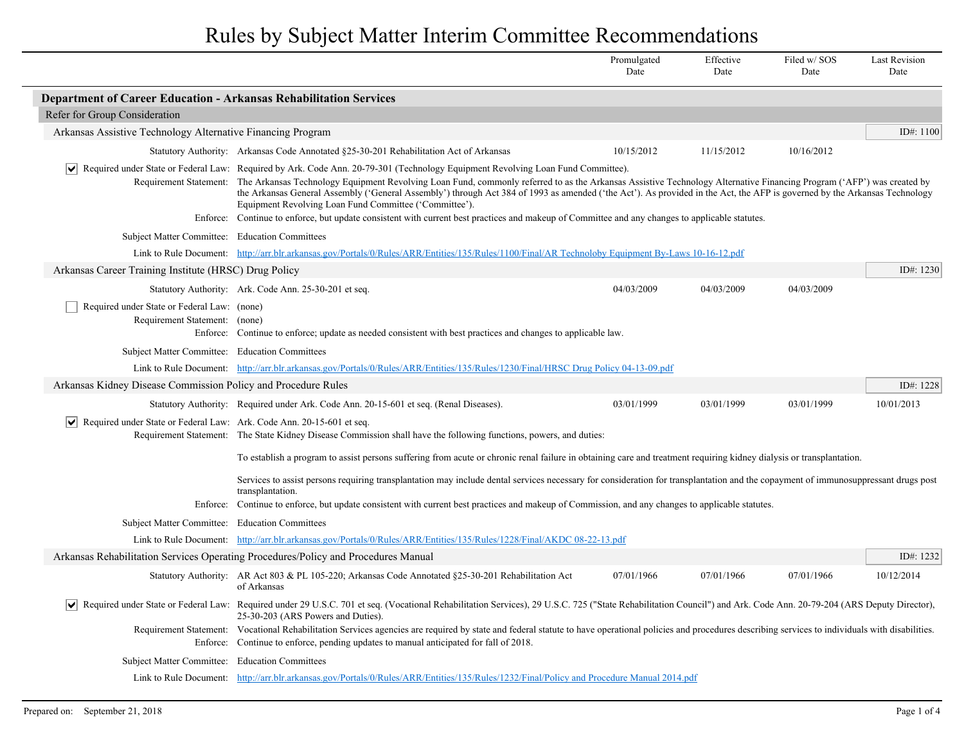|                                                                                              |                                                                                                                                                                                                                                                                                                                                                                                                                                                                                                                                                                        | Promulgated<br>Date | Effective<br>Date | Filed w/SOS<br>Date | <b>Last Revision</b><br>Date |
|----------------------------------------------------------------------------------------------|------------------------------------------------------------------------------------------------------------------------------------------------------------------------------------------------------------------------------------------------------------------------------------------------------------------------------------------------------------------------------------------------------------------------------------------------------------------------------------------------------------------------------------------------------------------------|---------------------|-------------------|---------------------|------------------------------|
| <b>Department of Career Education - Arkansas Rehabilitation Services</b>                     |                                                                                                                                                                                                                                                                                                                                                                                                                                                                                                                                                                        |                     |                   |                     |                              |
| Refer for Group Consideration                                                                |                                                                                                                                                                                                                                                                                                                                                                                                                                                                                                                                                                        |                     |                   |                     |                              |
| Arkansas Assistive Technology Alternative Financing Program                                  |                                                                                                                                                                                                                                                                                                                                                                                                                                                                                                                                                                        |                     |                   |                     | ID#: 1100                    |
|                                                                                              | Statutory Authority: Arkansas Code Annotated §25-30-201 Rehabilitation Act of Arkansas                                                                                                                                                                                                                                                                                                                                                                                                                                                                                 | 10/15/2012          | 11/15/2012        | 10/16/2012          |                              |
|                                                                                              | Required under State or Federal Law: Required by Ark. Code Ann. 20-79-301 (Technology Equipment Revolving Loan Fund Committee).<br>Requirement Statement: The Arkansas Technology Equipment Revolving Loan Fund, commonly referred to as the Arkansas Assistive Technology Alternative Financing Program ('AFP') was created by<br>the Arkansas General Assembly ('General Assembly') through Act 384 of 1993 as amended ('the Act'). As provided in the Act, the AFP is governed by the Arkansas Technology<br>Equipment Revolving Loan Fund Committee ('Committee'). |                     |                   |                     |                              |
|                                                                                              | Enforce: Continue to enforce, but update consistent with current best practices and makeup of Committee and any changes to applicable statutes.                                                                                                                                                                                                                                                                                                                                                                                                                        |                     |                   |                     |                              |
| Subject Matter Committee: Education Committees                                               |                                                                                                                                                                                                                                                                                                                                                                                                                                                                                                                                                                        |                     |                   |                     |                              |
|                                                                                              | Link to Rule Document: http://arr.blr.arkansas.gov/Portals/0/Rules/ARR/Entities/135/Rules/1100/Final/AR Technoloby Equipment By-Laws 10-16-12.pdf                                                                                                                                                                                                                                                                                                                                                                                                                      |                     |                   |                     |                              |
| Arkansas Career Training Institute (HRSC) Drug Policy                                        |                                                                                                                                                                                                                                                                                                                                                                                                                                                                                                                                                                        |                     |                   |                     | ID#: $1230$                  |
|                                                                                              | Statutory Authority: Ark. Code Ann. 25-30-201 et seq.                                                                                                                                                                                                                                                                                                                                                                                                                                                                                                                  | 04/03/2009          | 04/03/2009        | 04/03/2009          |                              |
| Required under State or Federal Law: (none)<br>Requirement Statement:                        | (none)<br>Enforce: Continue to enforce; update as needed consistent with best practices and changes to applicable law.                                                                                                                                                                                                                                                                                                                                                                                                                                                 |                     |                   |                     |                              |
| Subject Matter Committee: Education Committees                                               |                                                                                                                                                                                                                                                                                                                                                                                                                                                                                                                                                                        |                     |                   |                     |                              |
|                                                                                              | Link to Rule Document: http://arr.blr.arkansas.gov/Portals/0/Rules/ARR/Entities/135/Rules/1230/Final/HRSC Drug Policy 04-13-09.pdf                                                                                                                                                                                                                                                                                                                                                                                                                                     |                     |                   |                     |                              |
| Arkansas Kidney Disease Commission Policy and Procedure Rules                                |                                                                                                                                                                                                                                                                                                                                                                                                                                                                                                                                                                        |                     |                   |                     | ID#: 1228                    |
|                                                                                              | Statutory Authority: Required under Ark. Code Ann. 20-15-601 et seq. (Renal Diseases).                                                                                                                                                                                                                                                                                                                                                                                                                                                                                 | 03/01/1999          | 03/01/1999        | 03/01/1999          | 10/01/2013                   |
| $ \bm{\mathsf{v}} $<br>Required under State or Federal Law: Ark. Code Ann. 20-15-601 et seq. | Requirement Statement: The State Kidney Disease Commission shall have the following functions, powers, and duties:                                                                                                                                                                                                                                                                                                                                                                                                                                                     |                     |                   |                     |                              |
|                                                                                              | To establish a program to assist persons suffering from acute or chronic renal failure in obtaining care and treatment requiring kidney dialysis or transplantation.                                                                                                                                                                                                                                                                                                                                                                                                   |                     |                   |                     |                              |
|                                                                                              | Services to assist persons requiring transplantation may include dental services necessary for consideration for transplantation and the copayment of immunosuppressant drugs post<br>transplantation.                                                                                                                                                                                                                                                                                                                                                                 |                     |                   |                     |                              |
|                                                                                              | Enforce: Continue to enforce, but update consistent with current best practices and makeup of Commission, and any changes to applicable statutes.                                                                                                                                                                                                                                                                                                                                                                                                                      |                     |                   |                     |                              |
| Subject Matter Committee: Education Committees                                               |                                                                                                                                                                                                                                                                                                                                                                                                                                                                                                                                                                        |                     |                   |                     |                              |
|                                                                                              | Link to Rule Document: http://arr.blr.arkansas.gov/Portals/0/Rules/ARR/Entities/135/Rules/1228/Final/AKDC 08-22-13.pdf                                                                                                                                                                                                                                                                                                                                                                                                                                                 |                     |                   |                     |                              |
|                                                                                              | Arkansas Rehabilitation Services Operating Procedures/Policy and Procedures Manual                                                                                                                                                                                                                                                                                                                                                                                                                                                                                     |                     |                   |                     | ID#: 1232                    |
|                                                                                              | Statutory Authority: AR Act 803 & PL 105-220; Arkansas Code Annotated §25-30-201 Rehabilitation Act<br>of Arkansas                                                                                                                                                                                                                                                                                                                                                                                                                                                     | 07/01/1966          | 07/01/1966        | 07/01/1966          | 10/12/2014                   |
| $ \bm{\mathsf{v}} $                                                                          | Required under State or Federal Law: Required under 29 U.S.C. 701 et seq. (Vocational Rehabilitation Services), 29 U.S.C. 725 ("State Rehabilitation Council") and Ark. Code Ann. 20-79-204 (ARS Deputy Director),<br>25-30-203 (ARS Powers and Duties).                                                                                                                                                                                                                                                                                                               |                     |                   |                     |                              |
|                                                                                              | Requirement Statement: Vocational Rehabilitation Services agencies are required by state and federal statute to have operational policies and procedures describing services to individuals with disabilities.<br>Enforce: Continue to enforce, pending updates to manual anticipated for fall of 2018.                                                                                                                                                                                                                                                                |                     |                   |                     |                              |
| Subject Matter Committee: Education Committees                                               |                                                                                                                                                                                                                                                                                                                                                                                                                                                                                                                                                                        |                     |                   |                     |                              |
|                                                                                              | Link to Rule Document: http://arr.blr.arkansas.gov/Portals/0/Rules/ARR/Entities/135/Rules/1232/Final/Policy and Procedure Manual 2014.pdf                                                                                                                                                                                                                                                                                                                                                                                                                              |                     |                   |                     |                              |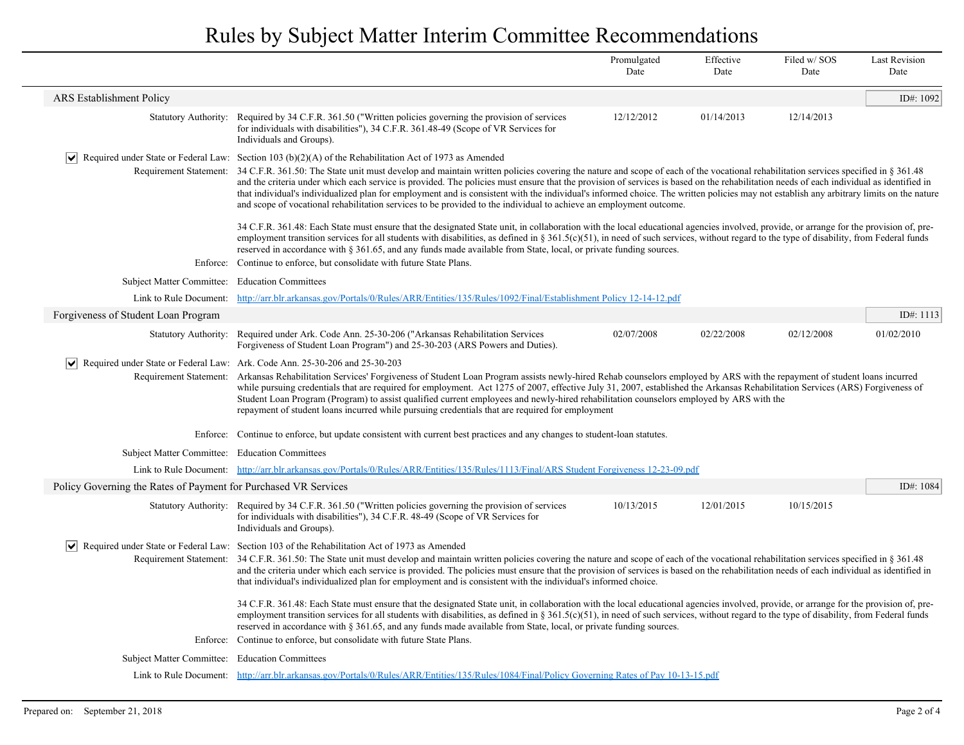|                                                                 |                                                                                                                                                                                                                                                                                                                                                                                                                                                                                                                                                                                                                                                                                                                      | Promulgated<br>Date | Effective<br>Date | Filed w/SOS<br>Date | <b>Last Revision</b><br>Date |
|-----------------------------------------------------------------|----------------------------------------------------------------------------------------------------------------------------------------------------------------------------------------------------------------------------------------------------------------------------------------------------------------------------------------------------------------------------------------------------------------------------------------------------------------------------------------------------------------------------------------------------------------------------------------------------------------------------------------------------------------------------------------------------------------------|---------------------|-------------------|---------------------|------------------------------|
| <b>ARS</b> Establishment Policy                                 |                                                                                                                                                                                                                                                                                                                                                                                                                                                                                                                                                                                                                                                                                                                      |                     |                   |                     | ID#: 1092                    |
| <b>Statutory Authority:</b>                                     | Required by 34 C.F.R. 361.50 ("Written policies governing the provision of services<br>for individuals with disabilities"), 34 C.F.R. 361.48-49 (Scope of VR Services for<br>Individuals and Groups).                                                                                                                                                                                                                                                                                                                                                                                                                                                                                                                | 12/12/2012          | 01/14/2013        | 12/14/2013          |                              |
|                                                                 | $\blacktriangleright$ Required under State or Federal Law: Section 103 (b)(2)(A) of the Rehabilitation Act of 1973 as Amended                                                                                                                                                                                                                                                                                                                                                                                                                                                                                                                                                                                        |                     |                   |                     |                              |
|                                                                 | Requirement Statement: 34 C.F.R. 361.50: The State unit must develop and maintain written policies covering the nature and scope of each of the vocational rehabilitation services specified in § 361.48<br>and the criteria under which each service is provided. The policies must ensure that the provision of services is based on the rehabilitation needs of each individual as identified in<br>that individual's individualized plan for employment and is consistent with the individual's informed choice. The written policies may not establish any arbitrary limits on the nature<br>and scope of vocational rehabilitation services to be provided to the individual to achieve an employment outcome. |                     |                   |                     |                              |
|                                                                 | 34 C.F.R. 361.48: Each State must ensure that the designated State unit, in collaboration with the local educational agencies involved, provide, or arrange for the provision of, pre-<br>employment transition services for all students with disabilities, as defined in § 361.5(c)(51), in need of such services, without regard to the type of disability, from Federal funds<br>reserved in accordance with § 361.65, and any funds made available from State, local, or private funding sources.                                                                                                                                                                                                               |                     |                   |                     |                              |
|                                                                 | Enforce: Continue to enforce, but consolidate with future State Plans.                                                                                                                                                                                                                                                                                                                                                                                                                                                                                                                                                                                                                                               |                     |                   |                     |                              |
| Subject Matter Committee: Education Committees                  |                                                                                                                                                                                                                                                                                                                                                                                                                                                                                                                                                                                                                                                                                                                      |                     |                   |                     |                              |
|                                                                 | Link to Rule Document: http://arr.blr.arkansas.gov/Portals/0/Rules/ARR/Entities/135/Rules/1092/Final/Establishment Policy 12-14-12.pdf                                                                                                                                                                                                                                                                                                                                                                                                                                                                                                                                                                               |                     |                   |                     |                              |
| Forgiveness of Student Loan Program                             |                                                                                                                                                                                                                                                                                                                                                                                                                                                                                                                                                                                                                                                                                                                      |                     |                   |                     | ID#: 1113                    |
|                                                                 | Statutory Authority: Required under Ark. Code Ann. 25-30-206 ("Arkansas Rehabilitation Services"<br>Forgiveness of Student Loan Program") and 25-30-203 (ARS Powers and Duties).                                                                                                                                                                                                                                                                                                                                                                                                                                                                                                                                     | 02/07/2008          | 02/22/2008        | 02/12/2008          | 01/02/2010                   |
| $ \vee $                                                        | Required under State or Federal Law: Ark. Code Ann. 25-30-206 and 25-30-203<br>Requirement Statement: Arkansas Rehabilitation Services' Forgiveness of Student Loan Program assists newly-hired Rehab counselors employed by ARS with the repayment of student loans incurred<br>while pursuing credentials that are required for employment. Act 1275 of 2007, effective July 31, 2007, established the Arkansas Rehabilitation Services (ARS) Forgiveness of<br>Student Loan Program (Program) to assist qualified current employees and newly-hired rehabilitation counselors employed by ARS with the<br>repayment of student loans incurred while pursuing credentials that are required for employment         |                     |                   |                     |                              |
|                                                                 | Enforce: Continue to enforce, but update consistent with current best practices and any changes to student-loan statutes.                                                                                                                                                                                                                                                                                                                                                                                                                                                                                                                                                                                            |                     |                   |                     |                              |
|                                                                 | Subject Matter Committee: Education Committees                                                                                                                                                                                                                                                                                                                                                                                                                                                                                                                                                                                                                                                                       |                     |                   |                     |                              |
|                                                                 | Link to Rule Document: http://arr.blr.arkansas.gov/Portals/0/Rules/ARR/Entities/135/Rules/1113/Final/ARS Student Forgiveness 12-23-09.pdf                                                                                                                                                                                                                                                                                                                                                                                                                                                                                                                                                                            |                     |                   |                     |                              |
| Policy Governing the Rates of Payment for Purchased VR Services |                                                                                                                                                                                                                                                                                                                                                                                                                                                                                                                                                                                                                                                                                                                      |                     |                   |                     | ID#: $1084$                  |
|                                                                 | Statutory Authority: Required by 34 C.F.R. 361.50 ("Written policies governing the provision of services<br>for individuals with disabilities"), 34 C.F.R. 48-49 (Scope of VR Services for<br>Individuals and Groups).                                                                                                                                                                                                                                                                                                                                                                                                                                                                                               | 10/13/2015          | 12/01/2015        | 10/15/2015          |                              |
| $\vert\bm{\mathsf{v}}\vert$<br>Requirement Statement:           | Required under State or Federal Law: Section 103 of the Rehabilitation Act of 1973 as Amended<br>34 O.F.R. 361.50: The State unit must develop and maintain written policies covering the nature and scope of each of the vocational rehabilitation services specified in § 361.48<br>and the criteria under which each service is provided. The policies must ensure that the provision of services is based on the rehabilitation needs of each individual as identified in<br>that individual's individualized plan for employment and is consistent with the individual's informed choice.                                                                                                                       |                     |                   |                     |                              |
|                                                                 | 34 C.F.R. 361.48: Each State must ensure that the designated State unit, in collaboration with the local educational agencies involved, provide, or arrange for the provision of, pre-<br>employment transition services for all students with disabilities, as defined in § 361.5(c)(51), in need of such services, without regard to the type of disability, from Federal funds<br>reserved in accordance with § 361.65, and any funds made available from State, local, or private funding sources.                                                                                                                                                                                                               |                     |                   |                     |                              |
|                                                                 | Enforce: Continue to enforce, but consolidate with future State Plans.                                                                                                                                                                                                                                                                                                                                                                                                                                                                                                                                                                                                                                               |                     |                   |                     |                              |
| Subject Matter Committee: Education Committees                  |                                                                                                                                                                                                                                                                                                                                                                                                                                                                                                                                                                                                                                                                                                                      |                     |                   |                     |                              |
|                                                                 | Link to Rule Document: http://arr.blr.arkansas.gov/Portals/0/Rules/ARR/Entities/135/Rules/1084/Final/Policy Governing Rates of Pay 10-13-15.pdf                                                                                                                                                                                                                                                                                                                                                                                                                                                                                                                                                                      |                     |                   |                     |                              |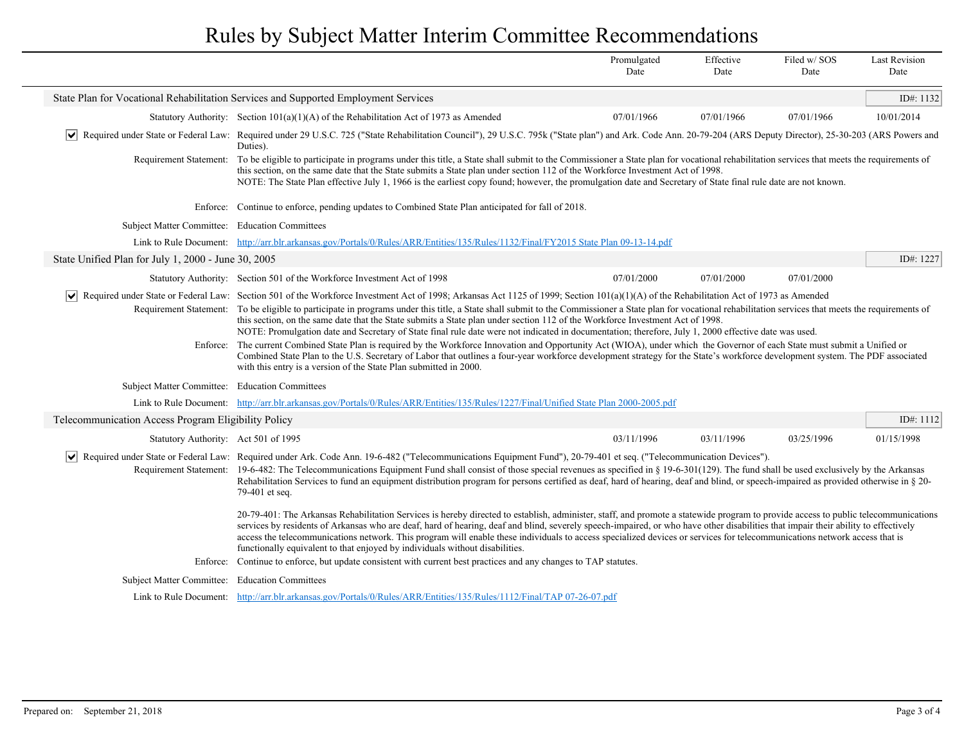|                                                     |                                                                                                                                                                                                                                                                                                                                                                                                                                                                                                                                                                                                                                       | Promulgated<br>Date | Effective<br>Date | Filed w/SOS<br>Date | <b>Last Revision</b><br>Date |
|-----------------------------------------------------|---------------------------------------------------------------------------------------------------------------------------------------------------------------------------------------------------------------------------------------------------------------------------------------------------------------------------------------------------------------------------------------------------------------------------------------------------------------------------------------------------------------------------------------------------------------------------------------------------------------------------------------|---------------------|-------------------|---------------------|------------------------------|
|                                                     | State Plan for Vocational Rehabilitation Services and Supported Employment Services                                                                                                                                                                                                                                                                                                                                                                                                                                                                                                                                                   |                     |                   |                     | ID#: 1132                    |
|                                                     | Statutory Authority: Section $101(a)(1)(A)$ of the Rehabilitation Act of 1973 as Amended                                                                                                                                                                                                                                                                                                                                                                                                                                                                                                                                              | 07/01/1966          | 07/01/1966        | 07/01/1966          | 10/01/2014                   |
|                                                     | Required under State or Federal Law: Required under 29 U.S.C. 725 ("State Rehabilitation Council"), 29 U.S.C. 795k ("State plan") and Ark. Code Ann. 20-79-204 (ARS Deputy Director), 25-30-203 (ARS Powers and<br>Duties).                                                                                                                                                                                                                                                                                                                                                                                                           |                     |                   |                     |                              |
| Requirement Statement:                              | To be eligible to participate in programs under this title, a State shall submit to the Commissioner a State plan for vocational rehabilitation services that meets the requirements of<br>this section, on the same date that the State submits a State plan under section 112 of the Workforce Investment Act of 1998.<br>NOTE: The State Plan effective July 1, 1966 is the earliest copy found; however, the promulgation date and Secretary of State final rule date are not known.                                                                                                                                              |                     |                   |                     |                              |
|                                                     | Enforce: Continue to enforce, pending updates to Combined State Plan anticipated for fall of 2018.                                                                                                                                                                                                                                                                                                                                                                                                                                                                                                                                    |                     |                   |                     |                              |
| Subject Matter Committee: Education Committees      |                                                                                                                                                                                                                                                                                                                                                                                                                                                                                                                                                                                                                                       |                     |                   |                     |                              |
|                                                     | Link to Rule Document: http://arr.blr.arkansas.gov/Portals/0/Rules/ARR/Entities/135/Rules/1132/Final/FY2015 State Plan 09-13-14.pdf                                                                                                                                                                                                                                                                                                                                                                                                                                                                                                   |                     |                   |                     |                              |
| State Unified Plan for July 1, 2000 - June 30, 2005 |                                                                                                                                                                                                                                                                                                                                                                                                                                                                                                                                                                                                                                       |                     |                   |                     | ID#: 1227                    |
|                                                     | Statutory Authority: Section 501 of the Workforce Investment Act of 1998                                                                                                                                                                                                                                                                                                                                                                                                                                                                                                                                                              | 07/01/2000          | 07/01/2000        | 07/01/2000          |                              |
| $ \mathsf{v} $                                      | Required under State or Federal Law: Section 501 of the Workforce Investment Act of 1998; Arkansas Act 1125 of 1999; Section 101(a)(1)(A) of the Rehabilitation Act of 1973 as Amended                                                                                                                                                                                                                                                                                                                                                                                                                                                |                     |                   |                     |                              |
|                                                     | Requirement Statement: To be eligible to participate in programs under this title, a State shall submit to the Commissioner a State plan for vocational rehabilitation services that meets the requirements of<br>this section, on the same date that the State submits a State plan under section 112 of the Workforce Investment Act of 1998.<br>NOTE: Promulgation date and Secretary of State final rule date were not indicated in documentation; therefore, July 1, 2000 effective date was used.                                                                                                                               |                     |                   |                     |                              |
|                                                     | Enforce: The current Combined State Plan is required by the Workforce Innovation and Opportunity Act (WIOA), under which the Governor of each State must submit a Unified or<br>Combined State Plan to the U.S. Secretary of Labor that outlines a four-year workforce development strategy for the State's workforce development system. The PDF associated<br>with this entry is a version of the State Plan submitted in 2000.                                                                                                                                                                                                     |                     |                   |                     |                              |
| Subject Matter Committee: Education Committees      |                                                                                                                                                                                                                                                                                                                                                                                                                                                                                                                                                                                                                                       |                     |                   |                     |                              |
|                                                     | Link to Rule Document: http://arr.blr.arkansas.gov/Portals/0/Rules/ARR/Entities/135/Rules/1227/Final/Unified State Plan 2000-2005.pdf                                                                                                                                                                                                                                                                                                                                                                                                                                                                                                 |                     |                   |                     |                              |
| Telecommunication Access Program Eligibility Policy |                                                                                                                                                                                                                                                                                                                                                                                                                                                                                                                                                                                                                                       |                     |                   |                     | ID#: 1112                    |
| Statutory Authority: Act 501 of 1995                |                                                                                                                                                                                                                                                                                                                                                                                                                                                                                                                                                                                                                                       | 03/11/1996          | 03/11/1996        | 03/25/1996          | 01/15/1998                   |
| $ \bm{\mathsf{v}} $                                 | Required under State or Federal Law: Required under Ark. Code Ann. 19-6-482 ("Telecommunications Equipment Fund"), 20-79-401 et seq. ("Telecommunication Devices").                                                                                                                                                                                                                                                                                                                                                                                                                                                                   |                     |                   |                     |                              |
|                                                     | Requirement Statement: 19-6-482: The Telecommunications Equipment Fund shall consist of those special revenues as specified in § 19-6-301(129). The fund shall be used exclusively by the Arkansas<br>Rehabilitation Services to fund an equipment distribution program for persons certified as deaf, hard of hearing, deaf and blind, or speech-impaired as provided otherwise in § 20-<br>79-401 et seq.                                                                                                                                                                                                                           |                     |                   |                     |                              |
|                                                     | 20-79-401: The Arkansas Rehabilitation Services is hereby directed to establish, administer, staff, and promote a statewide program to provide access to public telecommunications<br>services by residents of Arkansas who are deaf, hard of hearing, deaf and blind, severely speech-impaired, or who have other disabilities that impair their ability to effectively<br>access the telecommunications network. This program will enable these individuals to access specialized devices or services for telecommunications network access that is<br>functionally equivalent to that enjoyed by individuals without disabilities. |                     |                   |                     |                              |
| Enforce:                                            | Continue to enforce, but update consistent with current best practices and any changes to TAP statutes.                                                                                                                                                                                                                                                                                                                                                                                                                                                                                                                               |                     |                   |                     |                              |
| Subject Matter Committee: Education Committees      |                                                                                                                                                                                                                                                                                                                                                                                                                                                                                                                                                                                                                                       |                     |                   |                     |                              |
|                                                     | Link to Rule Document: http://arr.blr.arkansas.gov/Portals/0/Rules/ARR/Entities/135/Rules/1112/Final/TAP 07-26-07.pdf                                                                                                                                                                                                                                                                                                                                                                                                                                                                                                                 |                     |                   |                     |                              |